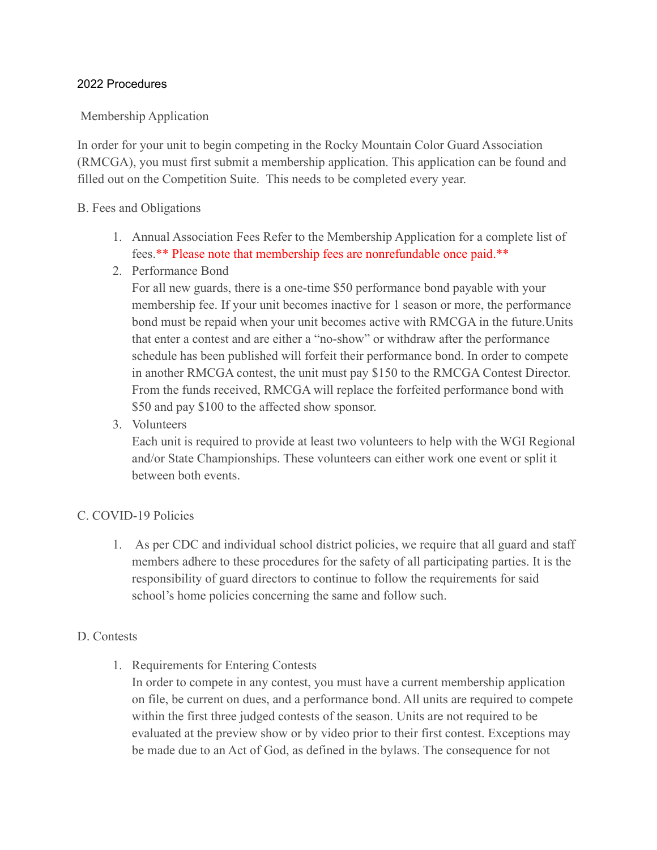#### 2022 Procedures

#### Membership Application

In order for your unit to begin competing in the Rocky Mountain Color Guard Association (RMCGA), you must first submit a membership application. This application can be found and filled out on the Competition Suite. This needs to be completed every year.

#### B. Fees and Obligations

- 1. Annual Association Fees Refer to the Membership Application for a complete list of fees.\*\* Please note that membership fees are nonrefundable once paid.\*\*
- 2. Performance Bond

For all new guards, there is a one-time \$50 performance bond payable with your membership fee. If your unit becomes inactive for 1 season or more, the performance bond must be repaid when your unit becomes active with RMCGA in the future.Units that enter a contest and are either a "no-show" or withdraw after the performance schedule has been published will forfeit their performance bond. In order to compete in another RMCGA contest, the unit must pay \$150 to the RMCGA Contest Director. From the funds received, RMCGA will replace the forfeited performance bond with \$50 and pay \$100 to the affected show sponsor.

3. Volunteers

Each unit is required to provide at least two volunteers to help with the WGI Regional and/or State Championships. These volunteers can either work one event or split it between both events.

#### C. COVID-19 Policies

1. As per CDC and individual school district policies, we require that all guard and staff members adhere to these procedures for the safety of all participating parties. It is the responsibility of guard directors to continue to follow the requirements for said school's home policies concerning the same and follow such.

#### D. Contests

1. Requirements for Entering Contests

In order to compete in any contest, you must have a current membership application on file, be current on dues, and a performance bond. All units are required to compete within the first three judged contests of the season. Units are not required to be evaluated at the preview show or by video prior to their first contest. Exceptions may be made due to an Act of God, as defined in the bylaws. The consequence for not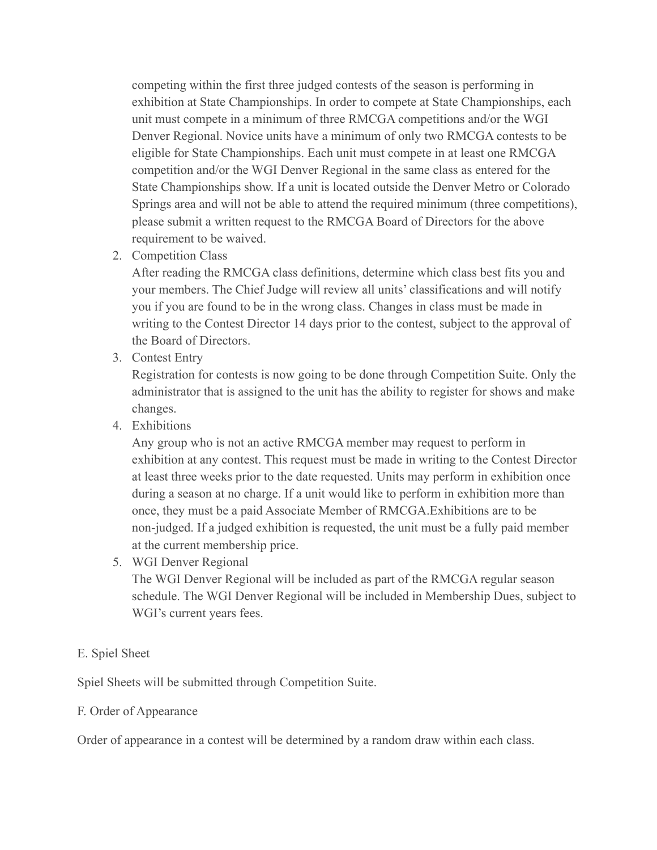competing within the first three judged contests of the season is performing in exhibition at State Championships. In order to compete at State Championships, each unit must compete in a minimum of three RMCGA competitions and/or the WGI Denver Regional. Novice units have a minimum of only two RMCGA contests to be eligible for State Championships. Each unit must compete in at least one RMCGA competition and/or the WGI Denver Regional in the same class as entered for the State Championships show. If a unit is located outside the Denver Metro or Colorado Springs area and will not be able to attend the required minimum (three competitions), please submit a written request to the RMCGA Board of Directors for the above requirement to be waived.

2. Competition Class

After reading the RMCGA class definitions, determine which class best fits you and your members. The Chief Judge will review all units' classifications and will notify you if you are found to be in the wrong class. Changes in class must be made in writing to the Contest Director 14 days prior to the contest, subject to the approval of the Board of Directors.

3. Contest Entry

Registration for contests is now going to be done through Competition Suite. Only the administrator that is assigned to the unit has the ability to register for shows and make changes.

4. Exhibitions

Any group who is not an active RMCGA member may request to perform in exhibition at any contest. This request must be made in writing to the Contest Director at least three weeks prior to the date requested. Units may perform in exhibition once during a season at no charge. If a unit would like to perform in exhibition more than once, they must be a paid Associate Member of RMCGA.Exhibitions are to be non-judged. If a judged exhibition is requested, the unit must be a fully paid member at the current membership price.

5. WGI Denver Regional

The WGI Denver Regional will be included as part of the RMCGA regular season schedule. The WGI Denver Regional will be included in Membership Dues, subject to WGI's current years fees.

## E. Spiel Sheet

Spiel Sheets will be submitted through Competition Suite.

#### F. Order of Appearance

Order of appearance in a contest will be determined by a random draw within each class.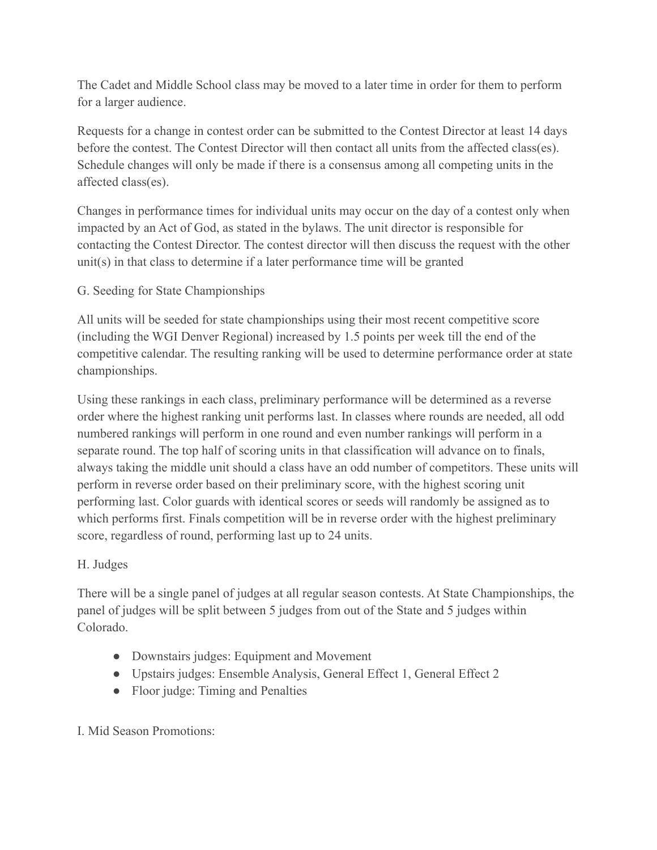The Cadet and Middle School class may be moved to a later time in order for them to perform for a larger audience.

Requests for a change in contest order can be submitted to the Contest Director at least 14 days before the contest. The Contest Director will then contact all units from the affected class(es). Schedule changes will only be made if there is a consensus among all competing units in the affected class(es).

Changes in performance times for individual units may occur on the day of a contest only when impacted by an Act of God, as stated in the bylaws. The unit director is responsible for contacting the Contest Director. The contest director will then discuss the request with the other unit(s) in that class to determine if a later performance time will be granted

## G. Seeding for State Championships

All units will be seeded for state championships using their most recent competitive score (including the WGI Denver Regional) increased by 1.5 points per week till the end of the competitive calendar. The resulting ranking will be used to determine performance order at state championships.

Using these rankings in each class, preliminary performance will be determined as a reverse order where the highest ranking unit performs last. In classes where rounds are needed, all odd numbered rankings will perform in one round and even number rankings will perform in a separate round. The top half of scoring units in that classification will advance on to finals, always taking the middle unit should a class have an odd number of competitors. These units will perform in reverse order based on their preliminary score, with the highest scoring unit performing last. Color guards with identical scores or seeds will randomly be assigned as to which performs first. Finals competition will be in reverse order with the highest preliminary score, regardless of round, performing last up to 24 units.

## H. Judges

There will be a single panel of judges at all regular season contests. At State Championships, the panel of judges will be split between 5 judges from out of the State and 5 judges within Colorado.

- Downstairs judges: Equipment and Movement
- Upstairs judges: Ensemble Analysis, General Effect 1, General Effect 2
- Floor judge: Timing and Penalties

# I. Mid Season Promotions: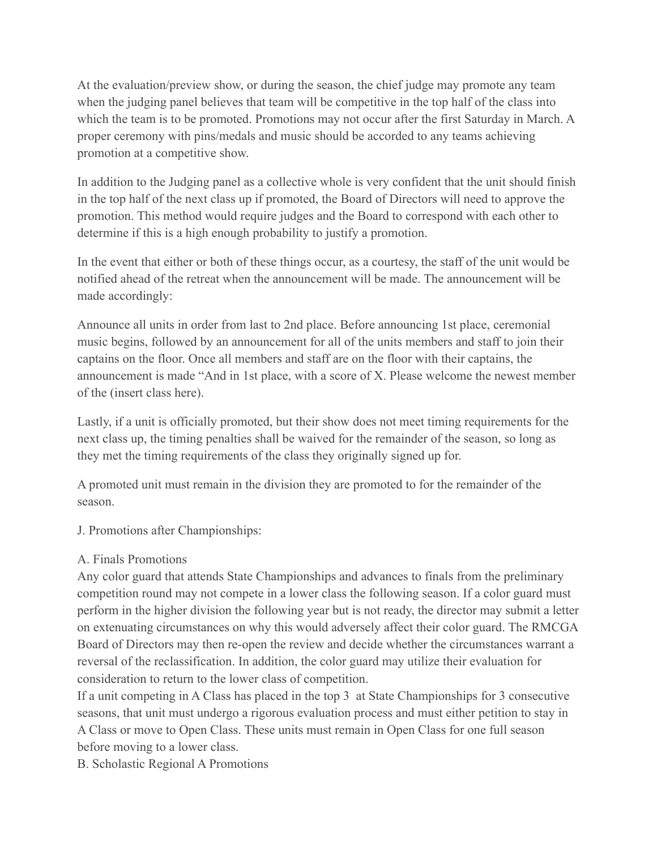At the evaluation/preview show, or during the season, the chief judge may promote any team when the judging panel believes that team will be competitive in the top half of the class into which the team is to be promoted. Promotions may not occur after the first Saturday in March. A proper ceremony with pins/medals and music should be accorded to any teams achieving promotion at a competitive show.

In addition to the Judging panel as a collective whole is very confident that the unit should finish in the top half of the next class up if promoted, the Board of Directors will need to approve the promotion. This method would require judges and the Board to correspond with each other to determine if this is a high enough probability to justify a promotion.

In the event that either or both of these things occur, as a courtesy, the staff of the unit would be notified ahead of the retreat when the announcement will be made. The announcement will be made accordingly:

Announce all units in order from last to 2nd place. Before announcing 1st place, ceremonial music begins, followed by an announcement for all of the units members and staff to join their captains on the floor. Once all members and staff are on the floor with their captains, the announcement is made "And in 1st place, with a score of X. Please welcome the newest member of the (insert class here).

Lastly, if a unit is officially promoted, but their show does not meet timing requirements for the next class up, the timing penalties shall be waived for the remainder of the season, so long as they met the timing requirements of the class they originally signed up for.

A promoted unit must remain in the division they are promoted to for the remainder of the season.

J. Promotions after Championships:

## A. Finals Promotions

Any color guard that attends State Championships and advances to finals from the preliminary competition round may not compete in a lower class the following season. If a color guard must perform in the higher division the following year but is not ready, the director may submit a letter on extenuating circumstances on why this would adversely affect their color guard. The RMCGA Board of Directors may then re-open the review and decide whether the circumstances warrant a reversal of the reclassification. In addition, the color guard may utilize their evaluation for consideration to return to the lower class of competition.

If a unit competing in A Class has placed in the top 3 at State Championships for 3 consecutive seasons, that unit must undergo a rigorous evaluation process and must either petition to stay in A Class or move to Open Class. These units must remain in Open Class for one full season before moving to a lower class.

B. Scholastic Regional A Promotions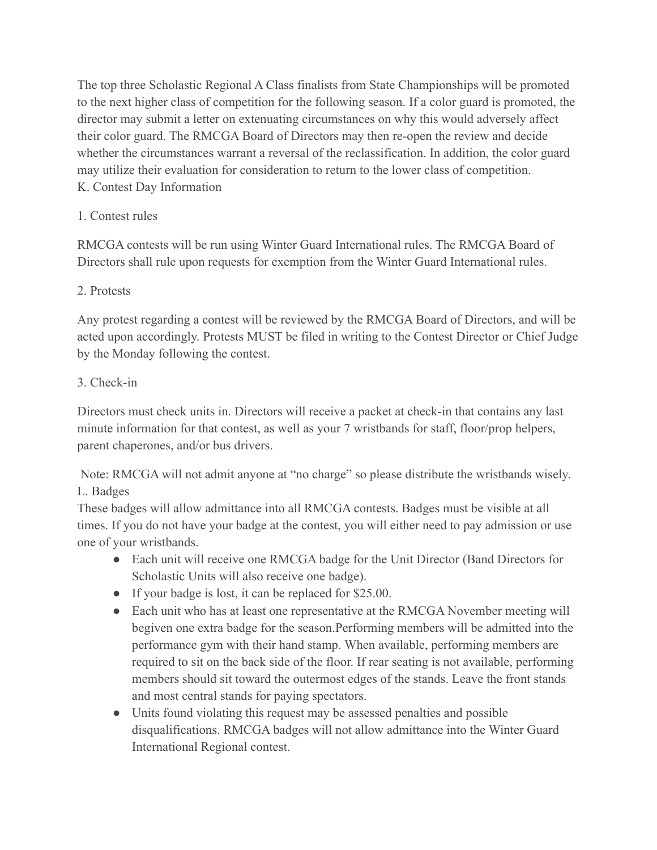The top three Scholastic Regional A Class finalists from State Championships will be promoted to the next higher class of competition for the following season. If a color guard is promoted, the director may submit a letter on extenuating circumstances on why this would adversely affect their color guard. The RMCGA Board of Directors may then re-open the review and decide whether the circumstances warrant a reversal of the reclassification. In addition, the color guard may utilize their evaluation for consideration to return to the lower class of competition. K. Contest Day Information

# 1. Contest rules

RMCGA contests will be run using Winter Guard International rules. The RMCGA Board of Directors shall rule upon requests for exemption from the Winter Guard International rules.

# 2. Protests

Any protest regarding a contest will be reviewed by the RMCGA Board of Directors, and will be acted upon accordingly. Protests MUST be filed in writing to the Contest Director or Chief Judge by the Monday following the contest.

# 3. Check-in

Directors must check units in. Directors will receive a packet at check-in that contains any last minute information for that contest, as well as your 7 wristbands for staff, floor/prop helpers, parent chaperones, and/or bus drivers.

Note: RMCGA will not admit anyone at "no charge" so please distribute the wristbands wisely. L. Badges

These badges will allow admittance into all RMCGA contests. Badges must be visible at all times. If you do not have your badge at the contest, you will either need to pay admission or use one of your wristbands.

- Each unit will receive one RMCGA badge for the Unit Director (Band Directors for Scholastic Units will also receive one badge).
- If your badge is lost, it can be replaced for \$25.00.
- Each unit who has at least one representative at the RMCGA November meeting will begiven one extra badge for the season.Performing members will be admitted into the performance gym with their hand stamp. When available, performing members are required to sit on the back side of the floor. If rear seating is not available, performing members should sit toward the outermost edges of the stands. Leave the front stands and most central stands for paying spectators.
- Units found violating this request may be assessed penalties and possible disqualifications. RMCGA badges will not allow admittance into the Winter Guard International Regional contest.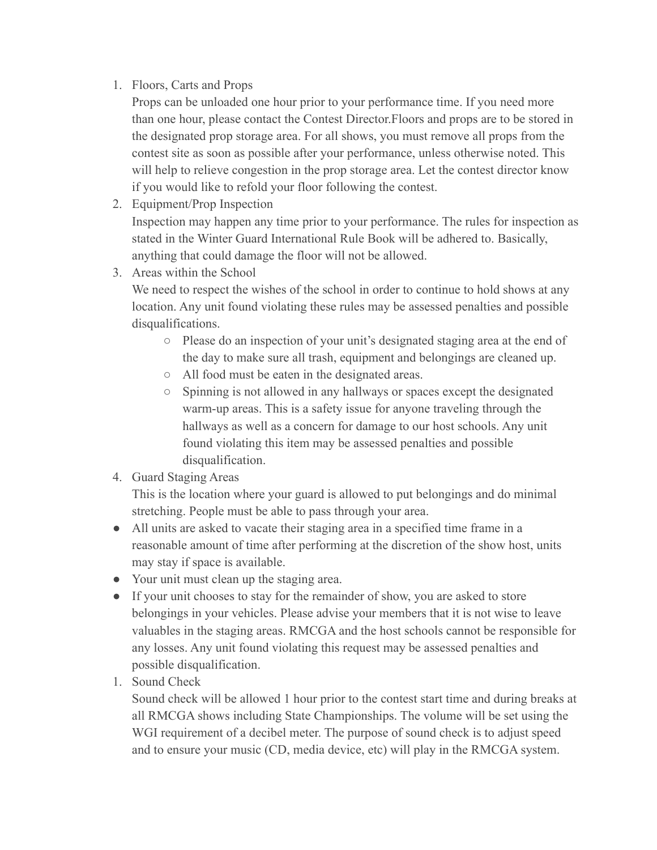## 1. Floors, Carts and Props

Props can be unloaded one hour prior to your performance time. If you need more than one hour, please contact the Contest Director.Floors and props are to be stored in the designated prop storage area. For all shows, you must remove all props from the contest site as soon as possible after your performance, unless otherwise noted. This will help to relieve congestion in the prop storage area. Let the contest director know if you would like to refold your floor following the contest.

2. Equipment/Prop Inspection

Inspection may happen any time prior to your performance. The rules for inspection as stated in the Winter Guard International Rule Book will be adhered to. Basically, anything that could damage the floor will not be allowed.

3. Areas within the School

We need to respect the wishes of the school in order to continue to hold shows at any location. Any unit found violating these rules may be assessed penalties and possible disqualifications.

- Please do an inspection of your unit's designated staging area at the end of the day to make sure all trash, equipment and belongings are cleaned up.
- All food must be eaten in the designated areas.
- Spinning is not allowed in any hallways or spaces except the designated warm-up areas. This is a safety issue for anyone traveling through the hallways as well as a concern for damage to our host schools. Any unit found violating this item may be assessed penalties and possible disqualification.
- 4. Guard Staging Areas

This is the location where your guard is allowed to put belongings and do minimal stretching. People must be able to pass through your area.

- All units are asked to vacate their staging area in a specified time frame in a reasonable amount of time after performing at the discretion of the show host, units may stay if space is available.
- Your unit must clean up the staging area.
- If your unit chooses to stay for the remainder of show, you are asked to store belongings in your vehicles. Please advise your members that it is not wise to leave valuables in the staging areas. RMCGA and the host schools cannot be responsible for any losses. Any unit found violating this request may be assessed penalties and possible disqualification.
- 1. Sound Check

Sound check will be allowed 1 hour prior to the contest start time and during breaks at all RMCGA shows including State Championships. The volume will be set using the WGI requirement of a decibel meter. The purpose of sound check is to adjust speed and to ensure your music (CD, media device, etc) will play in the RMCGA system.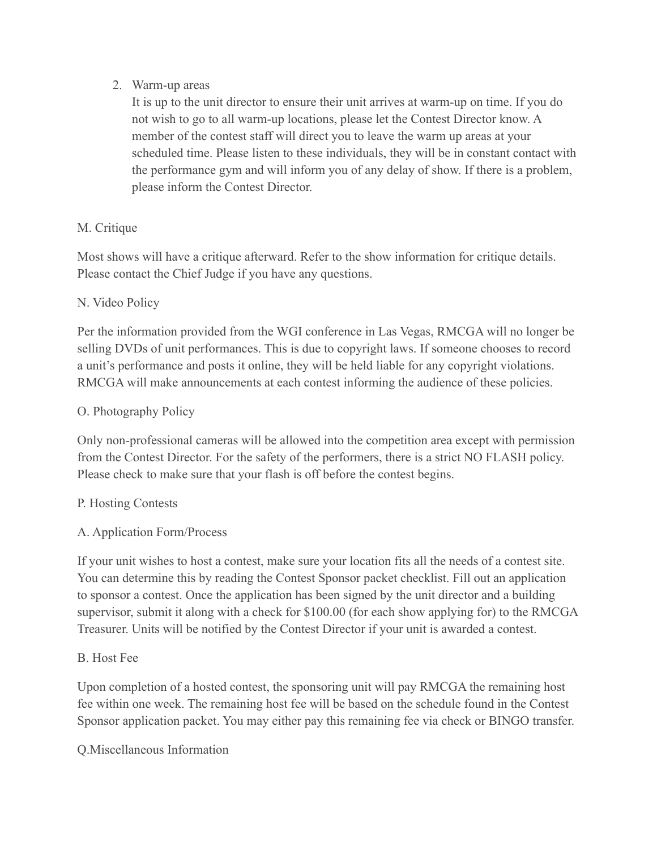#### 2. Warm-up areas

It is up to the unit director to ensure their unit arrives at warm-up on time. If you do not wish to go to all warm-up locations, please let the Contest Director know. A member of the contest staff will direct you to leave the warm up areas at your scheduled time. Please listen to these individuals, they will be in constant contact with the performance gym and will inform you of any delay of show. If there is a problem, please inform the Contest Director.

## M. Critique

Most shows will have a critique afterward. Refer to the show information for critique details. Please contact the Chief Judge if you have any questions.

## N. Video Policy

Per the information provided from the WGI conference in Las Vegas, RMCGA will no longer be selling DVDs of unit performances. This is due to copyright laws. If someone chooses to record a unit's performance and posts it online, they will be held liable for any copyright violations. RMCGA will make announcements at each contest informing the audience of these policies.

## O. Photography Policy

Only non-professional cameras will be allowed into the competition area except with permission from the Contest Director. For the safety of the performers, there is a strict NO FLASH policy. Please check to make sure that your flash is off before the contest begins.

## P. Hosting Contests

## A. Application Form/Process

If your unit wishes to host a contest, make sure your location fits all the needs of a contest site. You can determine this by reading the Contest Sponsor packet checklist. Fill out an application to sponsor a contest. Once the application has been signed by the unit director and a building supervisor, submit it along with a check for \$100.00 (for each show applying for) to the RMCGA Treasurer. Units will be notified by the Contest Director if your unit is awarded a contest.

#### B. Host Fee

Upon completion of a hosted contest, the sponsoring unit will pay RMCGA the remaining host fee within one week. The remaining host fee will be based on the schedule found in the Contest Sponsor application packet. You may either pay this remaining fee via check or BINGO transfer.

Q.Miscellaneous Information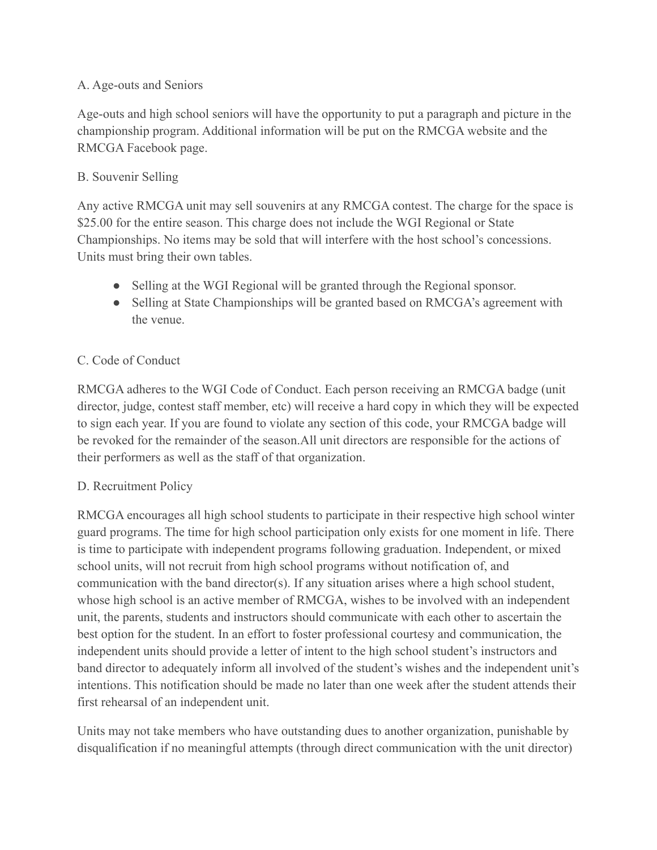#### A. Age-outs and Seniors

Age-outs and high school seniors will have the opportunity to put a paragraph and picture in the championship program. Additional information will be put on the RMCGA website and the RMCGA Facebook page.

## B. Souvenir Selling

Any active RMCGA unit may sell souvenirs at any RMCGA contest. The charge for the space is \$25.00 for the entire season. This charge does not include the WGI Regional or State Championships. No items may be sold that will interfere with the host school's concessions. Units must bring their own tables.

- Selling at the WGI Regional will be granted through the Regional sponsor.
- Selling at State Championships will be granted based on RMCGA's agreement with the venue.

# C. Code of Conduct

RMCGA adheres to the WGI Code of Conduct. Each person receiving an RMCGA badge (unit director, judge, contest staff member, etc) will receive a hard copy in which they will be expected to sign each year. If you are found to violate any section of this code, your RMCGA badge will be revoked for the remainder of the season.All unit directors are responsible for the actions of their performers as well as the staff of that organization.

## D. Recruitment Policy

RMCGA encourages all high school students to participate in their respective high school winter guard programs. The time for high school participation only exists for one moment in life. There is time to participate with independent programs following graduation. Independent, or mixed school units, will not recruit from high school programs without notification of, and communication with the band director(s). If any situation arises where a high school student, whose high school is an active member of RMCGA, wishes to be involved with an independent unit, the parents, students and instructors should communicate with each other to ascertain the best option for the student. In an effort to foster professional courtesy and communication, the independent units should provide a letter of intent to the high school student's instructors and band director to adequately inform all involved of the student's wishes and the independent unit's intentions. This notification should be made no later than one week after the student attends their first rehearsal of an independent unit.

Units may not take members who have outstanding dues to another organization, punishable by disqualification if no meaningful attempts (through direct communication with the unit director)